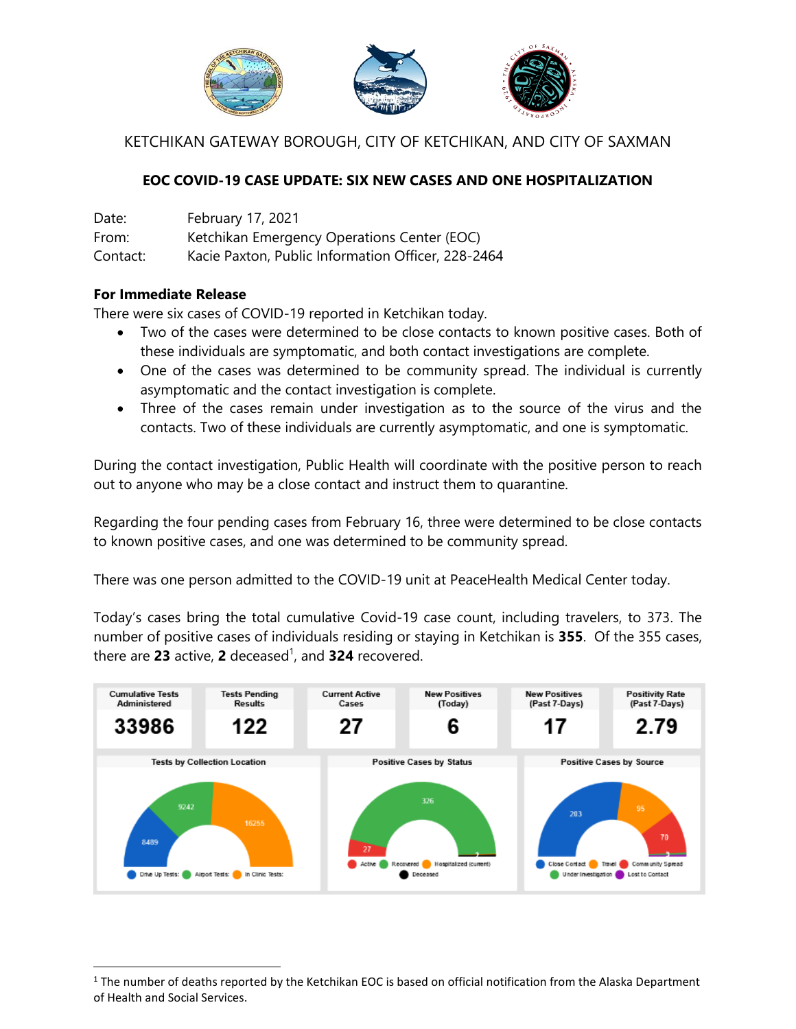

KETCHIKAN GATEWAY BOROUGH, CITY OF KETCHIKAN, AND CITY OF SAXMAN

## **EOC COVID-19 CASE UPDATE: SIX NEW CASES AND ONE HOSPITALIZATION**

Date: February 17, 2021 From: Ketchikan Emergency Operations Center (EOC) Contact: Kacie Paxton, Public Information Officer, 228-2464

## **For Immediate Release**

l

There were six cases of COVID-19 reported in Ketchikan today.

- Two of the cases were determined to be close contacts to known positive cases. Both of these individuals are symptomatic, and both contact investigations are complete.
- One of the cases was determined to be community spread. The individual is currently asymptomatic and the contact investigation is complete.
- Three of the cases remain under investigation as to the source of the virus and the contacts. Two of these individuals are currently asymptomatic, and one is symptomatic.

During the contact investigation, Public Health will coordinate with the positive person to reach out to anyone who may be a close contact and instruct them to quarantine.

Regarding the four pending cases from February 16, three were determined to be close contacts to known positive cases, and one was determined to be community spread.

There was one person admitted to the COVID-19 unit at PeaceHealth Medical Center today.

Today's cases bring the total cumulative Covid-19 case count, including travelers, to 373. The number of positive cases of individuals residing or staying in Ketchikan is **355**. Of the 355 cases, there are **23** active, **2** deceased 1 , and **324** recovered.



 $1$  The number of deaths reported by the Ketchikan EOC is based on official notification from the Alaska Department of Health and Social Services.